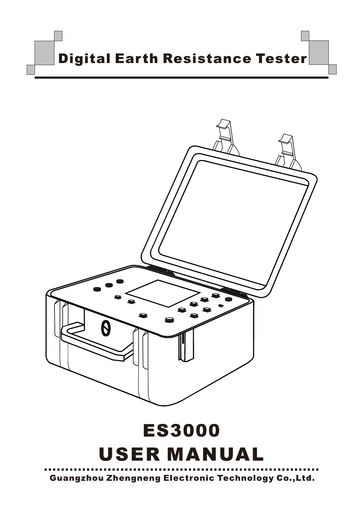



# **ES3000 USER MANUAL**

**Guangzhou Zhengneng Electronic Technology Co., Ltd.**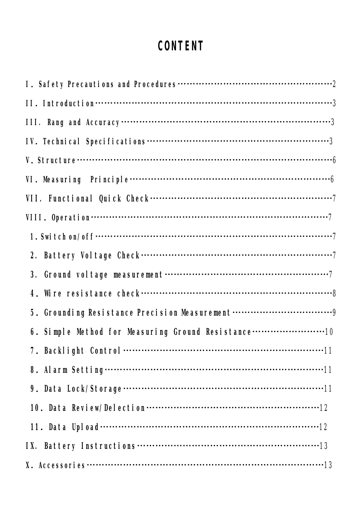# **CONTENT**

| 5. Grounding Resistance Precision Measurement       |
|-----------------------------------------------------|
| 6. Simple Method for Measuring Ground Resistance 10 |
|                                                     |
|                                                     |
|                                                     |
|                                                     |
|                                                     |
|                                                     |
|                                                     |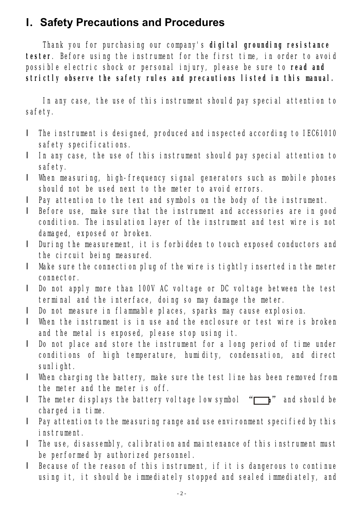## **I.Safety Precautions and Procedures**

Thank you for purchasing our company's **digital grounding resistance tester**. Before using the instrument for the first time, in order to avoid possible electric shock or personal injury, please be sure to **read and strictly observe the safety rules and precautions listed in this manual.** 

In any case, the use of this instrument should pay special attention to safety.

- l The instrument is designed, produced and inspected according to IEC61010 safety specifications.
- l In any case, the use of this instrument should pay special attention to safety.
- l When measuring, high-frequency signal generators such as mobile phones should not be used next to the meter to avoid errors.
- l Pay attention to the text and symbols on the body of the instrument.
- l Before use, make sure that the instrument and accessories are in good condition. The insulation layer of the instrument and test wire is not damaged, exposed or broken.
- l During the measurement, it is forbidden to touch exposed conductors and the circuit being measured.
- l Make sure the connection plug of the wire is tightly inserted in the meter connector.
- l Do not apply more than 100V AC voltage or DC voltage between the test terminal and the interface, doing so may damage the meter.
- l Do not measure in flammable places, sparks may cause explosion.
- l When the instrument is in use and the enclosure or test wire is broken and the metal is exposed, please stop using it.
- l Do not place and store the instrument for a long period of time under conditions of high temperature, humidity, condensation, and direct sunlight.
- l When charging the battery, make sure the test line has been removed from the meter and the meter is off.
- I The meter displays the battery voltage low symbol  $\sqrt[m]{\hspace{1.5mm}}$  and should be charged in time.
- l Pay attention to the measuring range and use environment specified by this instrument.
- l The use, disassembly, calibration and maintenance of this instrument must be performed by authorized personnel.
- l Because of the reason of this instrument, if it is dangerous to continue using it, it should be immediately stopped and sealed immediately, and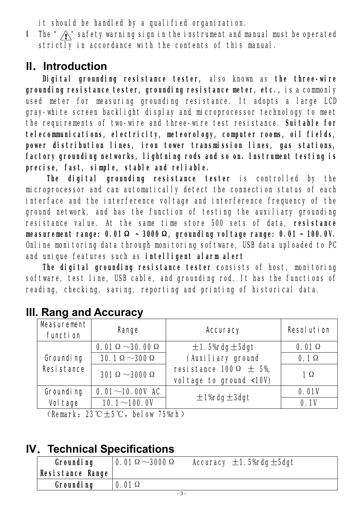it should be handled by a qualified organization.

I The "  $\hat{A}$ " safety warning sign in the instrument and manual must be operated strictly in accordance with the contents of this manual.

## **II.Introduction**

**Digital grounding resistance tester,** also known as **the three-wire grounding resistance tester, grounding resistance meter, etc.,** is a commonly used meter for measuring grounding resistance. It adopts a large LCD gray-white screen backlight display and microprocessor technology to meet the requirements of two-wire and three-wire test resistance. **Suitable for telecommunications, electricity, meteorology, computer rooms, oil fields, power distribution lines, iron tower transmission lines, gas stations, factory grounding networks, lightning rods and so on. Instrument testing is precise, fast, simple, stable and reliable.** 

**The digital grounding resistance tester** is controlled by the microprocessor and can automatically detect the connection status of each interface and the interference voltage and interference frequency of the ground network, and has the function of testing the auxiliary grounding resistance value. At the same time store 500 sets of data, **resistance measurement range: 0.01Ω ~ 3000Ω, grounding voltage range: 0.01 ~ 100.0V.**  Online monitoring data through monitoring software, USB data uploaded to PC and unique features such as **intelligent alarm alert**

**The digital grounding resistance tester c**onsists of host, monitoring software, test line, USB cable, and grounding rod. It has the functions of reading, checking, saving, reporting and printing of historical data.

| <b>Masurement</b><br>function | <b>Range</b>                    | <b>Accuracy</b>                                              | <b>Resolution</b> |
|-------------------------------|---------------------------------|--------------------------------------------------------------|-------------------|
|                               | $0.01 \Omega \sim 30.00 \Omega$ | $\pm$ 1.5% rdg $\pm$ 5dg t                                   | $0.01 \Omega$     |
| <b>Grounding</b>              | $30.1\Omega\!\sim\!300\,\Omega$ | (Auxiliary ground                                            | $0.1\Omega$       |
| <b>Resistance</b>             | 301 $\Omega$ ~3000 $\Omega$     | resistance 100 $\Omega$ $\pm$ 5%,<br>voltage to ground <10V) | 1 $\Omega$        |
| <b>Grounding</b>              | $0.01 - 10.00V$ AC              |                                                              | 0.01V             |
| <b>Voltage</b>                | $10.1 - 100.0V$                 | $\pm$ 1%rdg $\pm$ 3dgt                                       | 0.1V              |

# **III. Rang and Accuracy**

(Remark: 23℃ $\pm$ 5℃, below 75%rh)

# **IV.Technical Specifications**

| <b>Grounding</b><br>Resistance Range | 0.01 $\Omega$ $\sim$ 3000 $\Omega$ | Accuracy $\pm$ 1.5% rdg $\pm$ 5dgt |
|--------------------------------------|------------------------------------|------------------------------------|
| <b>Grounding</b>                     | $0.01 \Omega$                      |                                    |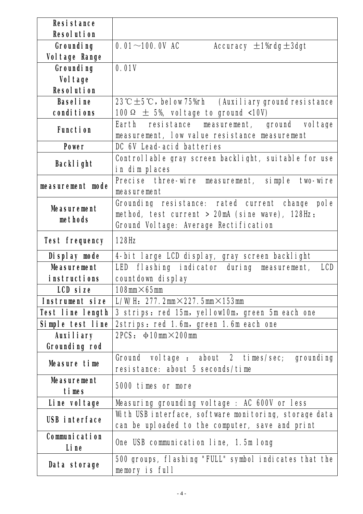| <b>Resistance</b>             |                                                                                                                                                       |  |
|-------------------------------|-------------------------------------------------------------------------------------------------------------------------------------------------------|--|
| <b>Resolution</b>             |                                                                                                                                                       |  |
|                               |                                                                                                                                                       |  |
| <b>Grounding</b>              | $0.01 - 100.0V$ AC<br>Accuracy $\pm$ 1% rdg $\pm$ 3dg t                                                                                               |  |
| <b>Voltage Range</b>          |                                                                                                                                                       |  |
| <b>Grounding</b>              | 0.01V                                                                                                                                                 |  |
| <b>Voltage</b>                |                                                                                                                                                       |  |
| <b>Resolution</b>             |                                                                                                                                                       |  |
| <b>Baseline</b>               | 23° $\mathbb{C} \pm 5$ ° $\mathbb{C}$ , below 75% h (Auxiliary ground resistance                                                                      |  |
| conditions                    | 100 $\Omega$ $\pm$ 5%, voltage to ground <10V)                                                                                                        |  |
| <b>Function</b>               | resistance measurement, ground voltage<br>Earth<br>measurement, low value resistance measurement                                                      |  |
| <b>Power</b>                  | DC 6V Lead-acid batteries                                                                                                                             |  |
| <b>Backlight</b>              | Controllable gray screen backlight, suitable for use<br>in dim places                                                                                 |  |
| measurement mode              | Precise three-wire measurement, simple two-wire<br>measurement                                                                                        |  |
| <b>Measurement</b><br>methods | Grounding resistance: rated current change pole<br>method, test current $> 20$ mA (sine wave), 128Hz;<br><b>Ground Voltage: Average Rectification</b> |  |
| <b>Test frequency</b>         | <b>128Hz</b>                                                                                                                                          |  |
| Display mode                  | 4-bit large LCD display, gray screen backlight                                                                                                        |  |
| <b>Measurement</b>            | LED flashing indicator during<br>measurement,<br><b>LCD</b>                                                                                           |  |
| <i>i</i> nstructions          | countdown display                                                                                                                                     |  |
| LCD size                      | 108mm $\times$ 65mm                                                                                                                                   |  |
| Instrument size               | L/WH: $277.2$ mm $\times$ 227.5mm $\times$ 153mm                                                                                                      |  |
| Test line length              | 3 strips: red 15m, yellow10m, green 5m each one                                                                                                       |  |
| Simple test line              | 2strips: red 1.6m, green 1.6m each one                                                                                                                |  |
| <b>Auxiliary</b>              | 2PCS: $\phi$ 10mm $\times$ 200mm                                                                                                                      |  |
| Grounding rod                 |                                                                                                                                                       |  |
|                               |                                                                                                                                                       |  |
| Measure time                  | Ground voltage: about 2 times/sec; grounding<br>resistance: about 5 seconds/time                                                                      |  |
| <b>Measurement</b><br>times   | 5000 times or more                                                                                                                                    |  |
| Line voltage                  | Measuring grounding voltage : AC 600V or less                                                                                                         |  |
| <b>USB interface</b>          | With USB interface, software monitoring, storage data<br>can be uploaded to the computer, save and print                                              |  |
| <b>Communication</b><br>Line  | One USB communication line, 1.5m long                                                                                                                 |  |
| Data storage                  | 500 groups, flashing "FULL" symbol indicates that the<br>memory is full                                                                               |  |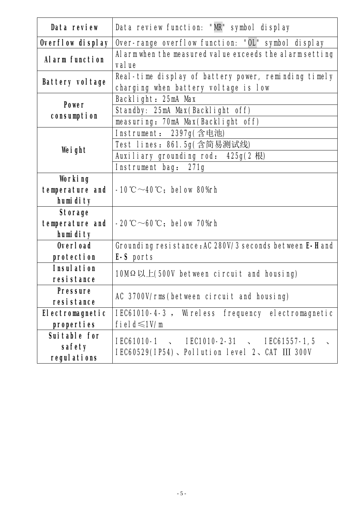| Data review                                   | Data review function: "MR" symbol display                                                    |  |
|-----------------------------------------------|----------------------------------------------------------------------------------------------|--|
| Overflow display                              | Over-range overflow function: "OL" symbol display                                            |  |
| <b>Alarm function</b>                         | Alarmwhen the measured value exceeds the alarm setting<br>value                              |  |
| <b>Battery voltage</b>                        | Real-time display of battery power, reminding timely<br>charging when battery voltage is low |  |
|                                               | Backlight: 25mA Max                                                                          |  |
| <b>Power</b>                                  | Standby: 25mA Max(Backlight off)                                                             |  |
| consumpt i on                                 | measuring: 70mA Max(Backlight off)                                                           |  |
|                                               | Instrument: 2397g(含电池)                                                                       |  |
|                                               | Test lines: 861.5g(含简易测试线)                                                                   |  |
| Weight                                        | Auxiliary grounding rod: 425g(2 根)                                                           |  |
|                                               | Instrument bag: 271g                                                                         |  |
| Working<br>temperature and<br>humidity        | $-10^{\circ}\text{C}\!\sim\!40^{\circ}\text{C}$ ; below 80%rh                                |  |
| <b>Storage</b><br>temperature and<br>humidity | $-20^{\circ}\text{C}\sim 60^{\circ}\text{C}$ ; below 70% h                                   |  |
| <b>Overload</b>                               | Grounding resistance: AC 280V/3 seconds between E-H and                                      |  |
| protection                                    | E-S ports                                                                                    |  |
| <b>Insulation</b><br>resistance               | 10M $\Omega \not\perp$ (500V between circuit and housing)                                    |  |
| <b>Pressure</b>                               |                                                                                              |  |
| resistance                                    | AC 3700V/rms(between circuit and housing)                                                    |  |
| <b>Electromagnetic</b>                        | IEC61010-4-3, Wireless frequency electromagnetic                                             |  |
| properties                                    | field $\leq 1$ V/m                                                                           |  |
| Suitable for<br>safety<br><b>regulations</b>  | <b>IEC61010-1</b> NEC1010-2-31 NEC61557-1,5<br>IEC60529(IP54)、Pollution level 2、CAT III 300V |  |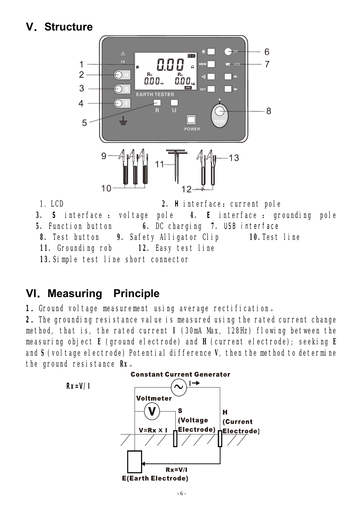# **V.Structure**



1. LCD 2. **H** interface: current pole **3. S** interface : voltage pole **4. E** interface : grounding pole **5.** Function button **6.** DC charging **7.** USB interface **8.** Test button **9.** Safety Alligator Clip **10.**Test line **11.** Grounding rob **12.** Easy test line **13.**Simple test line short connector

## **VI.Measuring Principle**

1. Ground voltage measurement using average rectification.

**2**.The grounding resistance value is measured using the rated current change method, that is, the rated current **I** (30mA Max, 128Hz) flowing between the measuring object **E** (ground electrode) and **H** (current electrode); seeking **E** and **S** (voltage electrode) Potential difference **V**, then the method to determine the ground resistance **Rx**。

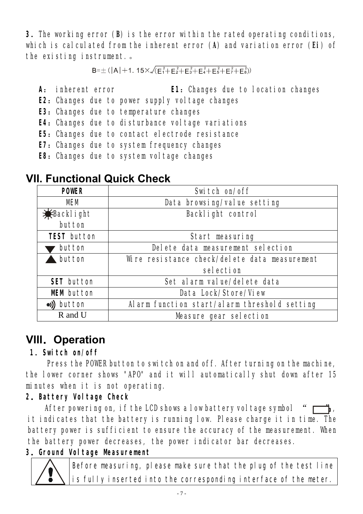**3**.The working error (**B**) is the error within the rated operating conditions, which is calculated from the inherent error (**A**) and variation error (**Ei**) of the existing instrument.。

 $B = \pm (|A| + 1.15 \times \sqrt{F_1^2 + F_2^2 + F_3^2 + F_4^2 + F_5^2 + F_7^2 + F_8^2)})$ 

- **A**: inherent error **E1**:Changes due to location changes
- **E2**: Changes due to power supply voltage changes
- **E3:** Changes due to temperature changes
- **E4**: Changes due to disturbance voltage variations
- **E5:** Changes due to contact electrode resistance
- **E7: Changes due to system frequency changes**
- **E8:** Changes due to system voltage changes

| <b>POWIR</b>        | Switch on/off                                 |  |
|---------------------|-----------------------------------------------|--|
| <b>MM</b>           | Data browsing/value setting                   |  |
| <b>X</b> Backlight  | <b>Backlight control</b>                      |  |
| button              |                                               |  |
| <b>TEST</b> button  | Start measuring                               |  |
| <b>button</b>       | Delete data measurement selection             |  |
| <b>button</b>       | Wire resistance check/delete data measurement |  |
|                     | selection                                     |  |
| <b>SET</b> button   | Set alarm value/delete data                   |  |
| <b>MM</b> hutton    | Data Lock/Store/View                          |  |
| $\bullet$ )) button | Alarm function start/alarm threshold setting  |  |
| R and U             | Measure gear selection                        |  |

# **VII. Functional Quick Check**

# **VIII.Operation**

#### **1**.**Switch on/off**

Į

Press the POWER button to switch on and off. After turning on the machine, the lower corner shows "APO" and it will automatically shut down after 15 minutes when it is not operating.

#### **2.Battery Voltage Check**

After powering on, if the LCD shows a low battery voltage symbol it indicates that the battery is running low. Please charge it in time. The battery power is sufficient to ensure the accuracy of the measurement. When the battery power decreases, the power indicator bar decreases.

## **3.Ground Voltage Measurement**

Before measuring, please make sure that the plug of the test line is fully inserted into the corresponding interface of the meter.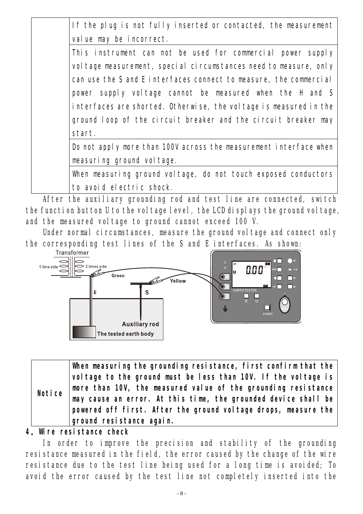If the plug is not fully inserted or contacted, the measurement value may be incorrect.

This instrument can not be used for commercial power supply voltage measurement, special circumstances need to measure, only can use the S and E interfaces connect to measure, the commercial power supply voltage cannot be measured when the H and S interfaces are shorted. Otherwise, the voltage is measured in the ground loop of the circuit breaker and the circuit breaker may start.

Do not apply more than 100V across the measurement interface when measuring ground voltage.

When measuring ground voltage, do not touch exposed conductors to avoid electric shock.

After the auxiliary grounding rod and test line are connected, switch the function button U to the voltage level, the LCD displays the ground voltage, and the measured voltage to ground cannot exceed 100 V.

Under normal circumstances, measure the ground voltage and connect only the corresponding test lines of the S and E interfaces. As shown:



**Notice When measuring the grounding resistance, first confirm that the voltage to the ground must be less than 10V. If the voltage is more than 10V, the measured value of the grounding resistance may cause an error. At this time, the grounded device shall be powered off first. After the ground voltage drops, measure the ground resistance again.** 

#### **4.Wire resistance check**

In order to improve the precision and stability of the grounding resistance measured in the field, the error caused by the change of the wire resistance due to the test line being used for a long time is avoided; To avoid the error caused by the test line not completely inserted into the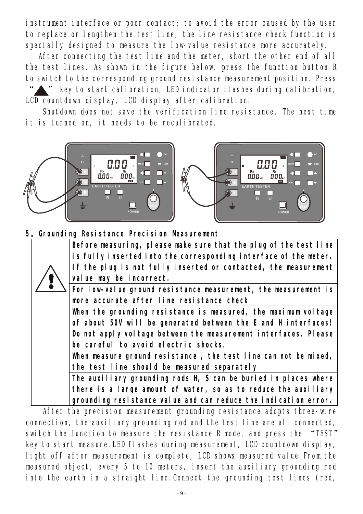instrument interface or poor contact; to avoid the error caused by the user to replace or lengthen the test line, the line resistance check function is specially designed to measure the low-value resistance more accurately.

After connecting the test line and the meter, short the other end of all the test lines. As shown in the figure below, press the function button R to switch to the corresponding ground resistance measurement position. Press

key to start calibration, LED indicator flashes during calibration, LCD countdown display, LCD display after calibration.

Shutdown does not save the verification line resistance. The next time it is turned on, it needs to be recalibrated.



**5.Grounding Resistance Precision Measurement** 

|  | Before measuring, please make sure that the plug of the test line |
|--|-------------------------------------------------------------------|
|  | is fully inserted into the corresponding interface of the neter.  |
|  | If the plug is not fully inserted or contacted, the measurement   |
|  | value may be incorrect.                                           |
|  | For low value ground resistance measurement, the measurement is   |
|  | nore accurate after line resistance check                         |
|  | When the grounding resistance is measured, the maximum voltage    |
|  | of about 50V will be generated between the E and Hinterfaces!     |
|  | Do not apply voltage between the measurement interfaces. Please   |
|  | be careful to avoid electric shocks.                              |
|  | When measure ground resistance, the test line can not be mixed,   |
|  | the test line should be neasured separately                       |
|  | The auxiliary grounding rods H S can be buried in places where    |
|  | there is a large amount of vater, so as to reduce the auxiliary   |
|  | grounding resistance value and can reduce the indication error.   |

After the precision measurement grounding resistance adopts three-wire connection, the auxiliary grounding rod and the test line are all connected, switch the function to measure the resistance R mode, and press the "TEST" key to start measure.LED flashes during measurement, LCD countdown display, light off after measurement is complete, LCD shows measured value.From the measured object, every 5 to 10 meters, insert the auxiliary grounding rod into the earth in a straight line.Connect the grounding test lines (red,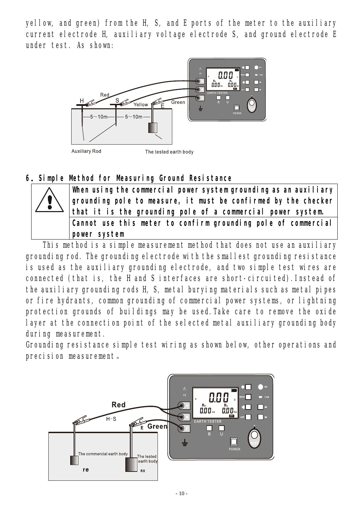yellow, and green) from the H, S, and E ports of the meter to the auxiliary current electrode H, auxiliary voltage electrode S, and ground electrode E under test. As shown:



#### **6.Simple Method for Measuring Ground Resistance**



This method is a simple measurement method that does not use an auxiliary grounding rod. The grounding electrode with the smallest grounding resistance is used as the auxiliary grounding electrode, and two simple test wires are connected (that is, the H and S interfaces are short-circuited).Instead of the auxiliary grounding rods H, S, metal burying materials such as metal pipes or fire hydrants, common grounding of commercial power systems, or lightning protection grounds of buildings may be used.Take care to remove the oxide layer at the connection point of the selected metal auxiliary grounding body during measurement.

Grounding resistance simple test wiring as shown below, other operations and precision measurement。

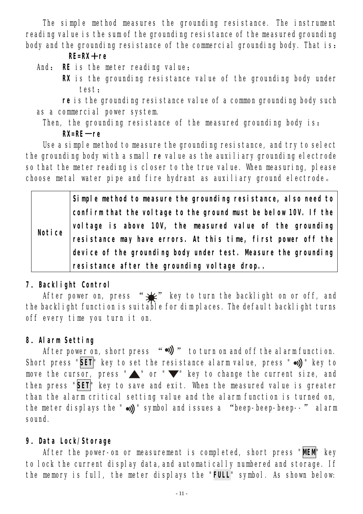The simple method measures the grounding resistance. The instrument reading value is the sum of the grounding resistance of the measured grounding body and the grounding resistance of the commercial grounding body. That is:

#### **RE=RX+re**

- And: **RE** is the meter reading value;
	- **RX** is the grounding resistance value of the grounding body under test;

**re** is the grounding resistance value of a common grounding body such as a commercial power system.

Then, the grounding resistance of the measured grounding body is: **RX=RE-re** 

Use a simple method to measure the grounding resistance, and try to select the grounding body with a small **re** value as the auxiliary grounding electrode so that the meter reading is closer to the true value. When measuring, please choose metal water pipe and fire hydrant as auxiliary ground electrode。

|               | Simple nethod to measure the grounding resistance, also need to |
|---------------|-----------------------------------------------------------------|
| <b>Notice</b> | confirmthat the voltage to the ground must be below 10V. If the |
|               | voltage is above 10V, the measured value of the grounding       |
|               | resistance may have errors. At this time, first power off the   |
|               | device of the grounding body under test. Masure the grounding   |
|               | resistance after the grounding voltage drop.                    |

#### **7**.**Backlight Control**

After power on, press " $\frac{1}{2}$ " key to turn the backlight on or off, and the backlight function is suitable for dim places. The default backlight turns off every time you turn it on.

#### **8**.**Alarm Setting**

After power on, short press "  $\rightarrow$ )  $\rightarrow$  to turn on and off the alarm function. Short press "SET" key to set the resistance alarm value, press " .) " key to move the cursor, press " $\blacktriangle$ " or " $\nabla$ " key to change the current size, and then press "**SET**" key to save and exit. When the measured value is greater than the alarm critical setting value and the alarm function is turned on, the meter displays the " $\omega$ ))" symbol and issues a "beep-beep-beep--" alarm sound.

#### **9**.**Data Lock/Storage**

After the power-on or measurement is completed, short press "**MEM**" key to lock the current display data,and automatically numbered and storage. If the memory is full, the meter displays the "**FULL**" symbol. As shown below: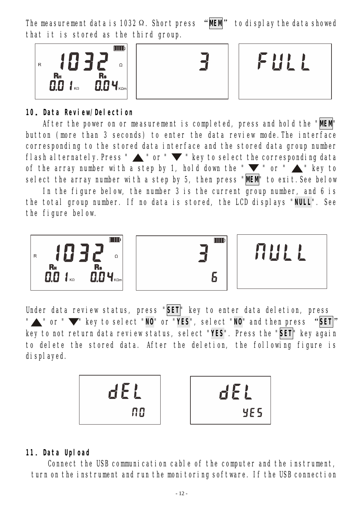The measurement data is 1032Ω. Short press "**MEM**" to display the data showed that it is stored as the third group.

> R<sub>s</sub>  $0.04<sub>ko</sub>$

**10.Data Review/Delection** 

 $0.01$ 

 $\mathsf{R}$ 

 $\overline{R}$ 

After the power on or measurement is completed, press and hold the "**MEM**" button (more than 3 seconds) to enter the data review mode.The interface corresponding to the stored data interface and the stored data group number flash alternately. Press "  $\blacktriangle$  " or "  $\blacktriangledown$  " key to select the corresponding data of the array number with a step by 1, hold down the " $\blacktriangledown$ " or " $\blacktriangle$ " key to select the array number with a step by 5, then press "**MEM**" to exit.See below

In the figure below, the number 3 is the current group number, and 6 is the total group number. If no data is stored, the LCD displays "**NULL**". See the figure below.

Under data review status, press "**SET**" key to enter data deletion, press " **\*** " or "  $\blacktriangledown$ " key to select "NO' or "YES", select "NO' and then press "SET" key to not return data review status, select "**YES**". Press the "**SET**" key again to delete the stored data. After the deletion, the following figure is displayed.

**11**.**Data Upload**

Connect the USB communication cable of the computer and the instrument, turn on the instrument and run the monitoring software. If the USB connection







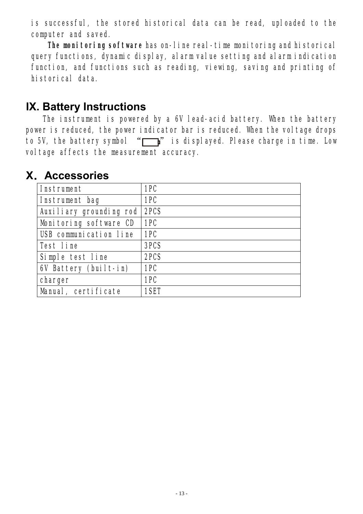is successful, the stored historical data can be read, uploaded to the computer and saved.

**The monitoring software** has on-line real-time monitoring and historical query functions, dynamic display, alarm value setting and alarm indication function, and functions such as reading, viewing, saving and printing of historical data.

## **IX. Battery Instructions**

The instrument is powered by a 6V lead-acid battery. When the battery power is reduced, the power indicator bar is reduced. When the voltage drops to 5V, the battery symbol  $\sqrt[m]{\quad}$  is displayed. Please charge in time. Low voltage affects the measurement accuracy.

| <b>Instrument</b>             | 1PC  |
|-------------------------------|------|
| Instrument bag                | 1PC  |
| Auxiliary grounding rod       | 2PCS |
| Monitoring software CD        | 1PC  |
| <b>USB communication line</b> | 1PC  |
| <b>Test line</b>              | 3PCS |
| Simple test line              | 2PCS |
| 6V Battery (built-in)         | 1PC  |
| charger                       | 1PC  |
| Manual, certificate           | 1SET |

## **X.Accessories**